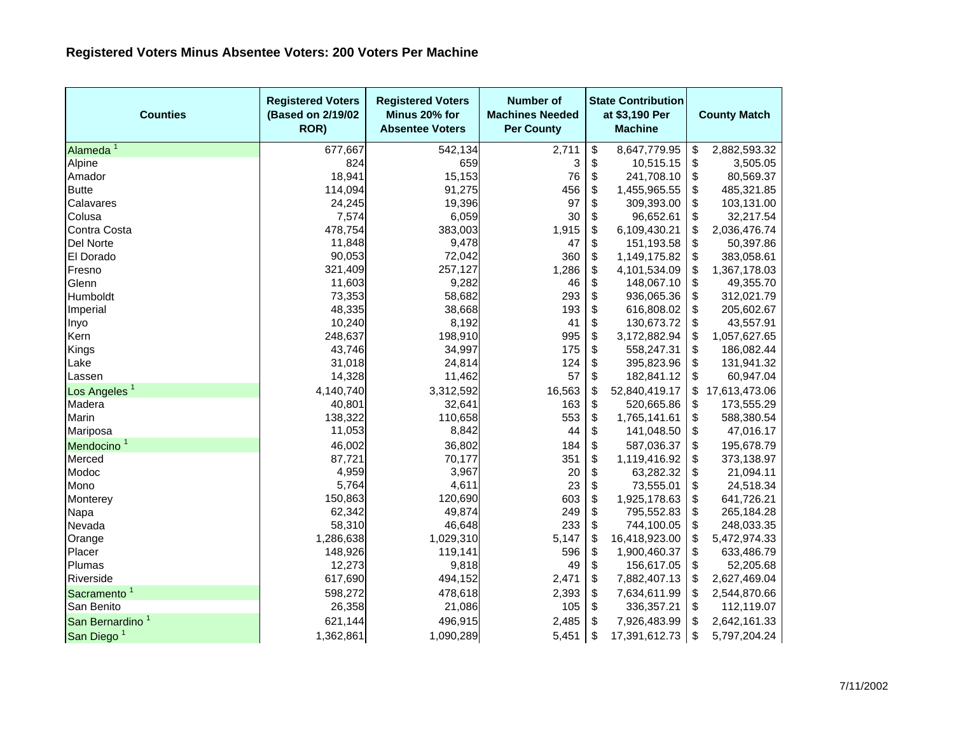| <b>Counties</b>             | <b>Registered Voters</b><br>(Based on 2/19/02<br>ROR) | <b>Registered Voters</b><br>Minus 20% for<br><b>Absentee Voters</b> | <b>Number of</b><br><b>Machines Needed</b><br><b>Per County</b> | <b>State Contribution</b><br>at \$3,190 Per<br><b>Machine</b> |               | <b>County Match</b> |               |
|-----------------------------|-------------------------------------------------------|---------------------------------------------------------------------|-----------------------------------------------------------------|---------------------------------------------------------------|---------------|---------------------|---------------|
| Alameda <sup>1</sup>        | 677,667                                               | 542,134                                                             | 2,711                                                           | \$                                                            | 8,647,779.95  | \$                  | 2,882,593.32  |
| Alpine                      | 824                                                   | 659                                                                 | 3                                                               | \$                                                            | 10,515.15     | \$                  | 3,505.05      |
| Amador                      | 18,941                                                | 15,153                                                              | 76                                                              | \$                                                            | 241,708.10    | \$                  | 80,569.37     |
| <b>Butte</b>                | 114,094                                               | 91,275                                                              | 456                                                             | \$                                                            | 1,455,965.55  | \$                  | 485,321.85    |
| Calavares                   | 24,245                                                | 19,396                                                              | 97                                                              | \$                                                            | 309,393.00    | \$                  | 103,131.00    |
| Colusa                      | 7,574                                                 | 6,059                                                               | 30                                                              | \$                                                            | 96,652.61     | \$                  | 32,217.54     |
| Contra Costa                | 478,754                                               | 383,003                                                             | 1,915                                                           | \$                                                            | 6,109,430.21  | \$                  | 2,036,476.74  |
| Del Norte                   | 11,848                                                | 9,478                                                               | 47                                                              | \$                                                            | 151,193.58    | \$                  | 50,397.86     |
| El Dorado                   | 90,053                                                | 72,042                                                              | 360                                                             | \$                                                            | 1,149,175.82  | \$                  | 383,058.61    |
| Fresno                      | 321,409                                               | 257,127                                                             | 1,286                                                           | \$                                                            | 4,101,534.09  | \$                  | 1,367,178.03  |
| Glenn                       | 11,603                                                | 9,282                                                               | 46                                                              | \$                                                            | 148,067.10    | \$                  | 49,355.70     |
| Humboldt                    | 73,353                                                | 58,682                                                              | 293                                                             | \$                                                            | 936,065.36    | \$                  | 312,021.79    |
| Imperial                    | 48,335                                                | 38,668                                                              | 193                                                             | \$                                                            | 616,808.02    | \$                  | 205,602.67    |
| Inyo                        | 10,240                                                | 8,192                                                               | 41                                                              | \$                                                            | 130,673.72    | \$                  | 43,557.91     |
| Kern                        | 248,637                                               | 198,910                                                             | 995                                                             | \$                                                            | 3,172,882.94  | \$                  | 1,057,627.65  |
| Kings                       | 43,746                                                | 34,997                                                              | 175                                                             | \$                                                            | 558,247.31    | \$                  | 186,082.44    |
| Lake                        | 31,018                                                | 24,814                                                              | 124                                                             | \$                                                            | 395,823.96    | \$                  | 131,941.32    |
| Lassen                      | 14,328                                                | 11,462                                                              | 57                                                              | \$                                                            | 182,841.12    | \$                  | 60,947.04     |
| Los Angeles <sup>1</sup>    | 4,140,740                                             | 3,312,592                                                           | 16,563                                                          | \$                                                            | 52,840,419.17 | \$                  | 17,613,473.06 |
| Madera                      | 40,801                                                | 32,641                                                              | 163                                                             | \$                                                            | 520,665.86    | \$                  | 173,555.29    |
| Marin                       | 138,322                                               | 110,658                                                             | 553                                                             | \$                                                            | 1,765,141.61  | \$                  | 588,380.54    |
| Mariposa                    | 11,053                                                | 8,842                                                               | 44                                                              | \$                                                            | 141,048.50    | \$                  | 47,016.17     |
| Mendocino <sup>1</sup>      | 46,002                                                | 36,802                                                              | 184                                                             | \$                                                            | 587,036.37    | \$                  | 195,678.79    |
| Merced                      | 87,721                                                | 70,177                                                              | 351                                                             | \$                                                            | 1,119,416.92  | \$                  | 373,138.97    |
| Modoc                       | 4,959                                                 | 3,967                                                               | 20                                                              | \$                                                            | 63,282.32     | \$                  | 21,094.11     |
| Mono                        | 5,764                                                 | 4,611                                                               | 23                                                              | \$                                                            | 73,555.01     | \$                  | 24,518.34     |
| Monterey                    | 150,863                                               | 120,690                                                             | 603                                                             | \$                                                            | 1,925,178.63  | \$                  | 641,726.21    |
| Napa                        | 62,342                                                | 49,874                                                              | 249                                                             | \$                                                            | 795,552.83    | \$                  | 265,184.28    |
| Nevada                      | 58,310                                                | 46,648                                                              | 233                                                             | \$                                                            | 744,100.05    | \$                  | 248,033.35    |
| Orange                      | 1,286,638                                             | 1,029,310                                                           | 5,147                                                           | \$                                                            | 16,418,923.00 | \$                  | 5,472,974.33  |
| Placer                      | 148,926                                               | 119,141                                                             | 596                                                             | \$                                                            | 1,900,460.37  | \$                  | 633,486.79    |
| Plumas                      | 12,273                                                | 9,818                                                               | 49                                                              | \$                                                            | 156,617.05    | \$                  | 52,205.68     |
| Riverside                   | 617,690                                               | 494,152                                                             | 2,471                                                           | \$                                                            | 7,882,407.13  | \$                  | 2,627,469.04  |
| Sacramento <sup>1</sup>     | 598,272                                               | 478,618                                                             | 2,393                                                           | \$                                                            | 7,634,611.99  | \$                  | 2,544,870.66  |
| San Benito                  | 26,358                                                | 21,086                                                              | 105                                                             | \$                                                            | 336,357.21    | \$                  | 112,119.07    |
| San Bernardino <sup>1</sup> | 621,144                                               | 496,915                                                             | 2,485                                                           | \$                                                            | 7,926,483.99  | \$                  | 2,642,161.33  |
| San Diego <sup>1</sup>      | 1,362,861                                             | 1,090,289                                                           | 5,451                                                           | \$                                                            | 17,391,612.73 | \$                  | 5,797,204.24  |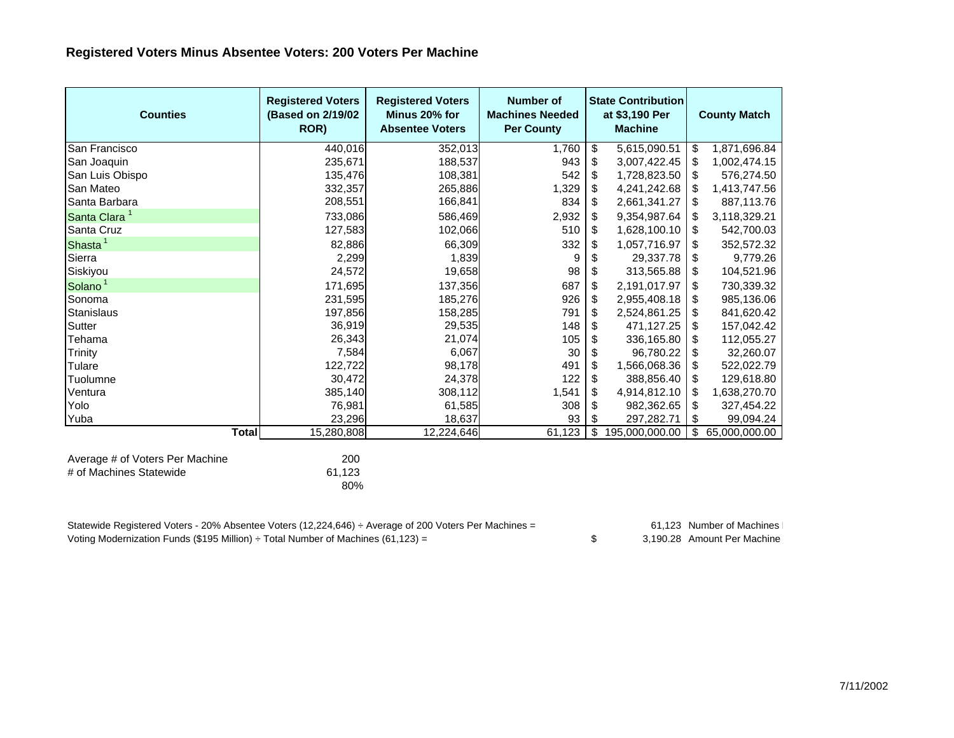## **Registered Voters Minus Absentee Voters: 200 Voters Per Machine**

| <b>Counties</b>                                            | <b>Registered Voters</b><br>(Based on 2/19/02)<br>ROR) | <b>Registered Voters</b><br>Minus 20% for<br><b>Absentee Voters</b> | <b>Number of</b><br><b>Machines Needed</b><br><b>Per County</b> | <b>State Contribution</b><br>at \$3,190 Per<br><b>Machine</b> |                | <b>County Match</b> |               |
|------------------------------------------------------------|--------------------------------------------------------|---------------------------------------------------------------------|-----------------------------------------------------------------|---------------------------------------------------------------|----------------|---------------------|---------------|
| <b>San Francisco</b>                                       | 440,016                                                | 352,013                                                             | 1,760                                                           | \$                                                            | 5,615,090.51   | \$                  | 1,871,696.84  |
| San Joaquin                                                | 235,671                                                | 188,537                                                             | 943                                                             | \$                                                            | 3,007,422.45   | \$                  | 1,002,474.15  |
| San Luis Obispo                                            | 135,476                                                | 108,381                                                             | 542                                                             | \$                                                            | 1,728,823.50   | $\sqrt[6]{3}$       | 576,274.50    |
| San Mateo                                                  | 332,357                                                | 265,886                                                             | 1,329                                                           | \$                                                            | 4,241,242.68   |                     | 1,413,747.56  |
| Santa Barbara                                              | 208,551                                                | 166,841                                                             | 834                                                             | \$                                                            | 2,661,341.27   | \$                  | 887,113.76    |
| Santa Clara <sup>1</sup>                                   | 733,086                                                | 586,469                                                             | 2,932                                                           | \$                                                            | 9,354,987.64   | -S                  | 3,118,329.21  |
| Santa Cruz                                                 | 127,583                                                | 102,066                                                             | 510                                                             | \$                                                            | 1,628,100.10   | -\$                 | 542,700.03    |
| Shasta <sup>1</sup>                                        | 82,886                                                 | 66,309                                                              | 332                                                             | \$                                                            | 1,057,716.97   | \$                  | 352,572.32    |
| Sierra                                                     | 2,299                                                  | 1,839                                                               | 9                                                               | \$                                                            | 29,337.78      | \$                  | 9,779.26      |
| Siskiyou                                                   | 24,572                                                 | 19,658                                                              | 98                                                              | \$                                                            | 313,565.88     | \$                  | 104,521.96    |
| Solano <sup>1</sup>                                        | 171,695                                                | 137,356                                                             | 687                                                             | \$                                                            | 2,191,017.97   | \$                  | 730,339.32    |
| Sonoma                                                     | 231,595                                                | 185,276                                                             | 926                                                             | \$                                                            | 2,955,408.18   | \$                  | 985,136.06    |
| Stanislaus                                                 | 197,856                                                | 158,285                                                             | 791                                                             | \$                                                            | 2,524,861.25   | \$                  | 841,620.42    |
| Sutter                                                     | 36,919                                                 | 29,535                                                              | 148                                                             | \$                                                            | 471,127.25     | \$                  | 157,042.42    |
| Tehama                                                     | 26,343                                                 | 21,074                                                              | 105                                                             | \$                                                            | 336,165.80     | -\$                 | 112,055.27    |
| Trinity                                                    | 7,584                                                  | 6,067                                                               | 30                                                              | \$                                                            | 96,780.22      | \$                  | 32,260.07     |
| Tulare                                                     | 122,722                                                | 98,178                                                              | 491                                                             | \$                                                            | 1,566,068.36   | \$                  | 522,022.79    |
| Tuolumne                                                   | 30,472                                                 | 24,378                                                              | 122                                                             | \$                                                            | 388,856.40     | \$                  | 129,618.80    |
| Ventura                                                    | 385,140                                                | 308,112                                                             | 1,541                                                           | \$                                                            | 4,914,812.10   | - \$                | 1,638,270.70  |
| Yolo                                                       | 76,981                                                 | 61,585                                                              | 308                                                             | \$                                                            | 982,362.65     | \$                  | 327,454.22    |
| Yuba                                                       | 23,296                                                 | 18,637                                                              | 93                                                              | \$                                                            | 297,282.71     | \$                  | 99,094.24     |
| <b>Total</b>                                               | 15,280,808                                             | 12,224,646                                                          | 61,123                                                          | \$                                                            | 195,000,000.00 | \$                  | 65,000,000.00 |
| Average # of Voters Per Machine<br># of Machines Statewide | 200<br>61,123<br>80%                                   |                                                                     |                                                                 |                                                               |                |                     |               |

| Statewide Registered Voters - 20% Absentee Voters (12,224,646) ÷ Average of 200 Voters Per Machines = | 61.123 Number of Machines   |
|-------------------------------------------------------------------------------------------------------|-----------------------------|
| Voting Modernization Funds (\$195 Million) $\div$ Total Number of Machines (61,123) =                 | 3.190.28 Amount Per Machine |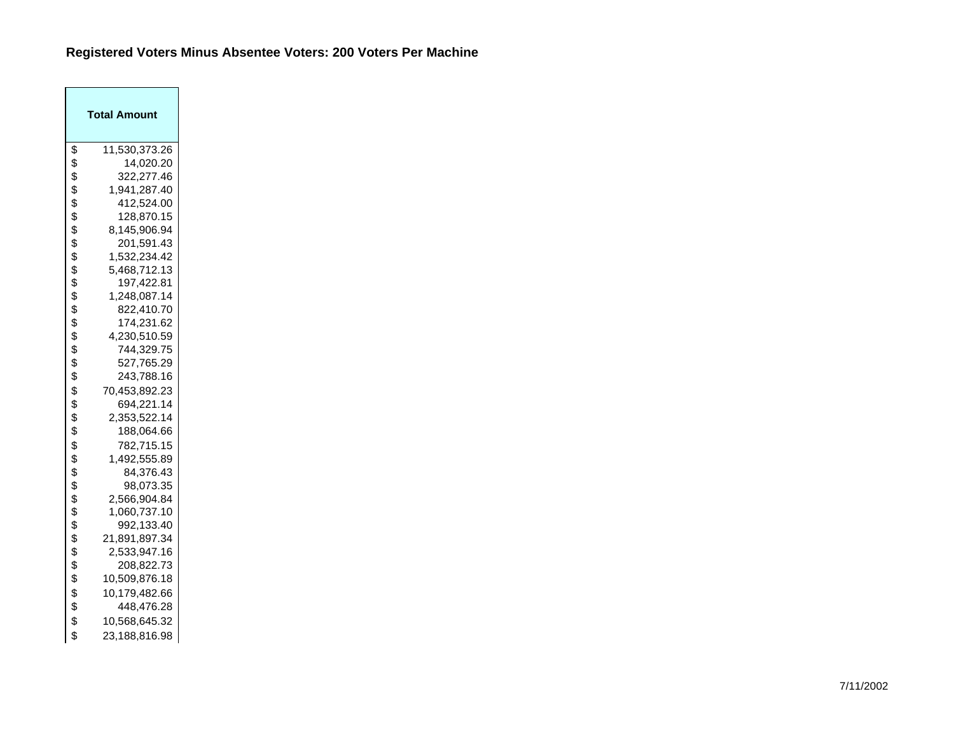## **Registered Voters Minus Absentee Voters: 200 Voters Per Machine**

| Total Amount        |
|---------------------|
| \$<br>11,530,373.26 |
| \$<br>14,020.20     |
| \$<br>322,277.46    |
| \$<br>1,941,287.40  |
| \$<br>412,524.00    |
| \$<br>128,870.15    |
| \$<br>8,145,906.94  |
| \$<br>201,591.43    |
| \$<br>1,532,234.42  |
| \$<br>5,468,712.13  |
| \$<br>197,422.81    |
| \$<br>1,248,087.14  |
| \$<br>822,410.70    |
| \$<br>174,231.62    |
| \$<br>4,230,510.59  |
| \$<br>744,329.75    |
| \$<br>527,765.29    |
| \$<br>243,788.16    |
| \$<br>70,453,892.23 |
| \$<br>694,221.14    |
| \$<br>2,353,522.14  |
| \$<br>188,064.66    |
| \$<br>782,715.15    |
| \$<br>1,492,555.89  |
| \$<br>84,376.43     |
| \$<br>98,073.35     |
| \$<br>2,566,904.84  |
| \$<br>1,060,737.10  |
| \$<br>992,133.40    |
| \$<br>21,891,897.34 |
| \$<br>2,533,947.16  |
| \$<br>208,822.73    |
| \$<br>10,509,876.18 |
| \$<br>10,179,482.66 |
| \$<br>448,476.28    |
| \$<br>10,568,645.32 |
| \$<br>23,188,816.98 |